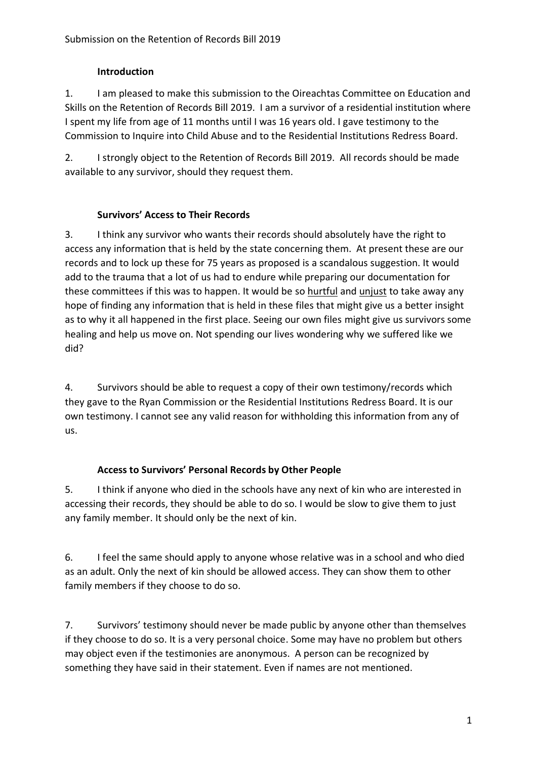## **Introduction**

1. I am pleased to make this submission to the Oireachtas Committee on Education and Skills on the Retention of Records Bill 2019. I am a survivor of a residential institution where I spent my life from age of 11 months until I was 16 years old. I gave testimony to the Commission to Inquire into Child Abuse and to the Residential Institutions Redress Board.

2. I strongly object to the Retention of Records Bill 2019. All records should be made available to any survivor, should they request them.

# **Survivors' Access to Their Records**

3. I think any survivor who wants their records should absolutely have the right to access any information that is held by the state concerning them. At present these are our records and to lock up these for 75 years as proposed is a scandalous suggestion. It would add to the trauma that a lot of us had to endure while preparing our documentation for these committees if this was to happen. It would be so hurtful and unjust to take away any hope of finding any information that is held in these files that might give us a better insight as to why it all happened in the first place. Seeing our own files might give us survivors some healing and help us move on. Not spending our lives wondering why we suffered like we did?

4. Survivors should be able to request a copy of their own testimony/records which they gave to the Ryan Commission or the Residential Institutions Redress Board. It is our own testimony. I cannot see any valid reason for withholding this information from any of us.

# **Access to Survivors' Personal Records by Other People**

5. I think if anyone who died in the schools have any next of kin who are interested in accessing their records, they should be able to do so. I would be slow to give them to just any family member. It should only be the next of kin.

6. I feel the same should apply to anyone whose relative was in a school and who died as an adult. Only the next of kin should be allowed access. They can show them to other family members if they choose to do so.

7. Survivors' testimony should never be made public by anyone other than themselves if they choose to do so. It is a very personal choice. Some may have no problem but others may object even if the testimonies are anonymous. A person can be recognized by something they have said in their statement. Even if names are not mentioned.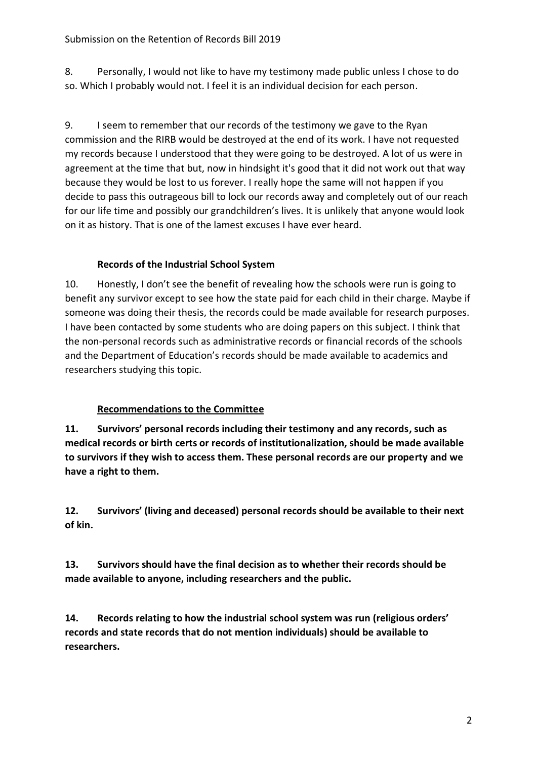8. Personally, I would not like to have my testimony made public unless I chose to do so. Which I probably would not. I feel it is an individual decision for each person.

9. I seem to remember that our records of the testimony we gave to the Ryan commission and the RIRB would be destroyed at the end of its work. I have not requested my records because I understood that they were going to be destroyed. A lot of us were in agreement at the time that but, now in hindsight it's good that it did not work out that way because they would be lost to us forever. I really hope the same will not happen if you decide to pass this outrageous bill to lock our records away and completely out of our reach for our life time and possibly our grandchildren's lives. It is unlikely that anyone would look on it as history. That is one of the lamest excuses I have ever heard.

# **Records of the Industrial School System**

10. Honestly, I don't see the benefit of revealing how the schools were run is going to benefit any survivor except to see how the state paid for each child in their charge. Maybe if someone was doing their thesis, the records could be made available for research purposes. I have been contacted by some students who are doing papers on this subject. I think that the non-personal records such as administrative records or financial records of the schools and the Department of Education's records should be made available to academics and researchers studying this topic.

# **Recommendations to the Committee**

**11. Survivors' personal records including their testimony and any records, such as medical records or birth certs or records of institutionalization, should be made available to survivors if they wish to access them. These personal records are our property and we have a right to them.** 

**12. Survivors' (living and deceased) personal records should be available to their next of kin.** 

**13. Survivors should have the final decision as to whether their records should be made available to anyone, including researchers and the public.** 

**14. Records relating to how the industrial school system was run (religious orders' records and state records that do not mention individuals) should be available to researchers.**